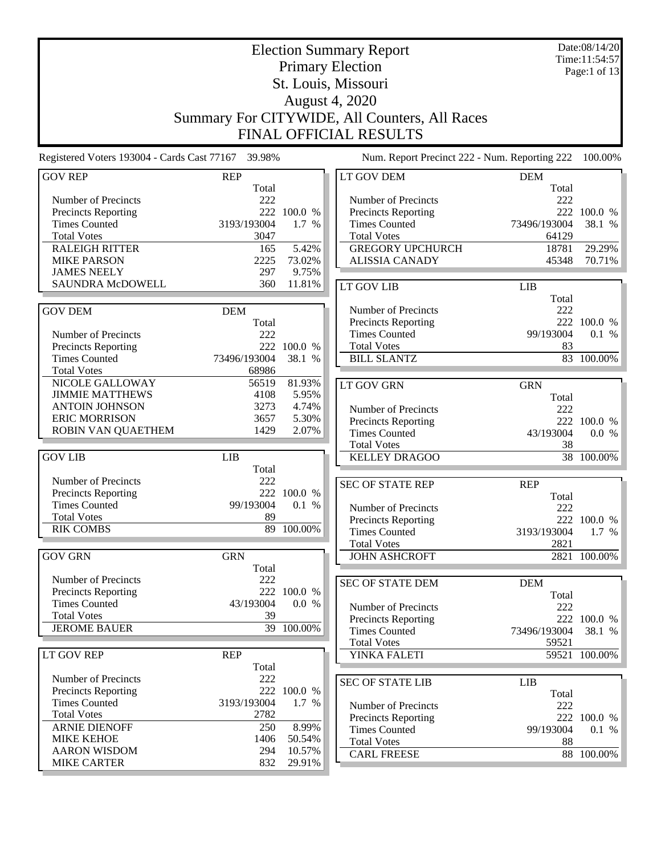|                                                    |                     |             | <b>Election Summary Report</b>                |                     |                                 |  |  |  |
|----------------------------------------------------|---------------------|-------------|-----------------------------------------------|---------------------|---------------------------------|--|--|--|
|                                                    |                     |             | <b>Primary Election</b>                       |                     | Time:11:54:57<br>Page:1 of $13$ |  |  |  |
|                                                    |                     |             | St. Louis, Missouri                           |                     |                                 |  |  |  |
|                                                    |                     |             | August 4, 2020                                |                     |                                 |  |  |  |
|                                                    |                     |             |                                               |                     |                                 |  |  |  |
|                                                    |                     |             | Summary For CITYWIDE, All Counters, All Races |                     |                                 |  |  |  |
| FINAL OFFICIAL RESULTS                             |                     |             |                                               |                     |                                 |  |  |  |
| Registered Voters 193004 - Cards Cast 77167 39.98% |                     |             | Num. Report Precinct 222 - Num. Reporting 222 |                     | 100.00%                         |  |  |  |
| <b>GOV REP</b>                                     | <b>REP</b><br>Total |             | LT GOV DEM                                    | <b>DEM</b><br>Total |                                 |  |  |  |
| Number of Precincts                                | 222                 |             | Number of Precincts                           | 222                 |                                 |  |  |  |
| <b>Precincts Reporting</b>                         |                     | 222 100.0 % | <b>Precincts Reporting</b>                    | 222                 | 100.0 %                         |  |  |  |
| <b>Times Counted</b>                               | 3193/193004         | 1.7 %       | <b>Times Counted</b>                          | 73496/193004        | 38.1 %                          |  |  |  |
| <b>Total Votes</b>                                 | 3047                |             | <b>Total Votes</b>                            | 64129               |                                 |  |  |  |
| <b>RALEIGH RITTER</b>                              | 165                 | 5.42%       | <b>GREGORY UPCHURCH</b>                       | 18781               | 29.29%                          |  |  |  |
| <b>MIKE PARSON</b>                                 | 2225                | 73.02%      | <b>ALISSIA CANADY</b>                         | 45348               | 70.71%                          |  |  |  |
| <b>JAMES NEELY</b>                                 | 297                 | 9.75%       |                                               |                     |                                 |  |  |  |
| <b>SAUNDRA McDOWELL</b>                            | 360                 | 11.81%      | LT GOV LIB                                    | <b>LIB</b>          |                                 |  |  |  |
|                                                    |                     |             |                                               | Total               |                                 |  |  |  |
| <b>GOV DEM</b>                                     | <b>DEM</b>          |             | Number of Precincts<br>Precincts Reporting    | 222                 | 222 100.0 %                     |  |  |  |
| Number of Precincts                                | Total<br>222        |             | <b>Times Counted</b>                          | 99/193004           | 0.1 %                           |  |  |  |
| Precincts Reporting                                |                     | 222 100.0 % | <b>Total Votes</b>                            | 83                  |                                 |  |  |  |
| <b>Times Counted</b>                               | 73496/193004        | 38.1 %      | <b>BILL SLANTZ</b>                            |                     | 83 100.00%                      |  |  |  |
| <b>Total Votes</b>                                 | 68986               |             |                                               |                     |                                 |  |  |  |
| NICOLE GALLOWAY                                    | 56519               | 81.93%      | <b>LT GOV GRN</b>                             | <b>GRN</b>          |                                 |  |  |  |
| <b>JIMMIE MATTHEWS</b>                             | 4108                | 5.95%       |                                               | Total               |                                 |  |  |  |
| <b>ANTOIN JOHNSON</b>                              | 3273                | 4.74%       | Number of Precincts                           | 222                 |                                 |  |  |  |
| <b>ERIC MORRISON</b>                               | 3657                | 5.30%       | <b>Precincts Reporting</b>                    |                     | 222 100.0 %                     |  |  |  |
| ROBIN VAN QUAETHEM                                 | 1429                | 2.07%       | <b>Times Counted</b>                          | 43/193004           | 0.0 %                           |  |  |  |
|                                                    |                     |             | <b>Total Votes</b>                            | 38                  |                                 |  |  |  |
| <b>GOV LIB</b>                                     | LIB<br>Total        |             | <b>KELLEY DRAGOO</b>                          |                     | 38 100.00%                      |  |  |  |
| Number of Precincts                                | 222                 |             |                                               |                     |                                 |  |  |  |
| <b>Precincts Reporting</b>                         |                     | 222 100.0 % | <b>SEC OF STATE REP</b>                       | <b>REP</b><br>Total |                                 |  |  |  |
| <b>Times Counted</b>                               | 99/193004           | 0.1 %       | Number of Precincts                           | 222                 |                                 |  |  |  |
| <b>Total Votes</b>                                 | 89                  |             | Precincts Reporting                           |                     | 222 100.0 %                     |  |  |  |
| <b>RIK COMBS</b>                                   |                     | 89 100.00%  | <b>Times Counted</b>                          | 3193/193004         | 1.7 %                           |  |  |  |
|                                                    |                     |             | <b>Total Votes</b>                            | 2821                |                                 |  |  |  |
| <b>GOV GRN</b>                                     | <b>GRN</b><br>Total |             | <b>JOHN ASHCROFT</b>                          |                     | 2821 100.00%                    |  |  |  |
| Number of Precincts                                | 222                 |             |                                               |                     |                                 |  |  |  |
| Precincts Reporting                                |                     | 222 100.0 % | <b>SEC OF STATE DEM</b>                       | <b>DEM</b>          |                                 |  |  |  |
| <b>Times Counted</b>                               | 43/193004           | 0.0 %       | Number of Precincts                           | Total<br>222        |                                 |  |  |  |
| <b>Total Votes</b>                                 | 39                  |             | <b>Precincts Reporting</b>                    |                     | 222 100.0 %                     |  |  |  |
| <b>JEROME BAUER</b>                                |                     | 39 100.00%  | <b>Times Counted</b>                          | 73496/193004        | 38.1 %                          |  |  |  |
|                                                    |                     |             | <b>Total Votes</b>                            | 59521               |                                 |  |  |  |
| <b>LT GOV REP</b>                                  | <b>REP</b>          |             | YINKA FALETI                                  |                     | 59521 100.00%                   |  |  |  |
|                                                    | Total               |             |                                               |                     |                                 |  |  |  |
| Number of Precincts                                | 222                 |             | <b>SEC OF STATE LIB</b>                       | <b>LIB</b>          |                                 |  |  |  |
| Precincts Reporting                                |                     | 222 100.0 % |                                               | Total               |                                 |  |  |  |
| <b>Times Counted</b><br><b>Total Votes</b>         | 3193/193004<br>2782 | 1.7 %       | Number of Precincts                           | 222                 |                                 |  |  |  |
| <b>ARNIE DIENOFF</b>                               | 250                 | 8.99%       | Precincts Reporting                           |                     | 222 100.0 %                     |  |  |  |
| <b>MIKE KEHOE</b>                                  | 1406                | 50.54%      | <b>Times Counted</b>                          | 99/193004           | 0.1 %                           |  |  |  |
| <b>AARON WISDOM</b>                                | 294                 | 10.57%      | <b>Total Votes</b>                            | 88                  |                                 |  |  |  |
| <b>MIKE CARTER</b>                                 | 832                 | 29.91%      | <b>CARL FREESE</b>                            |                     | 88 100.00%                      |  |  |  |
|                                                    |                     |             |                                               |                     |                                 |  |  |  |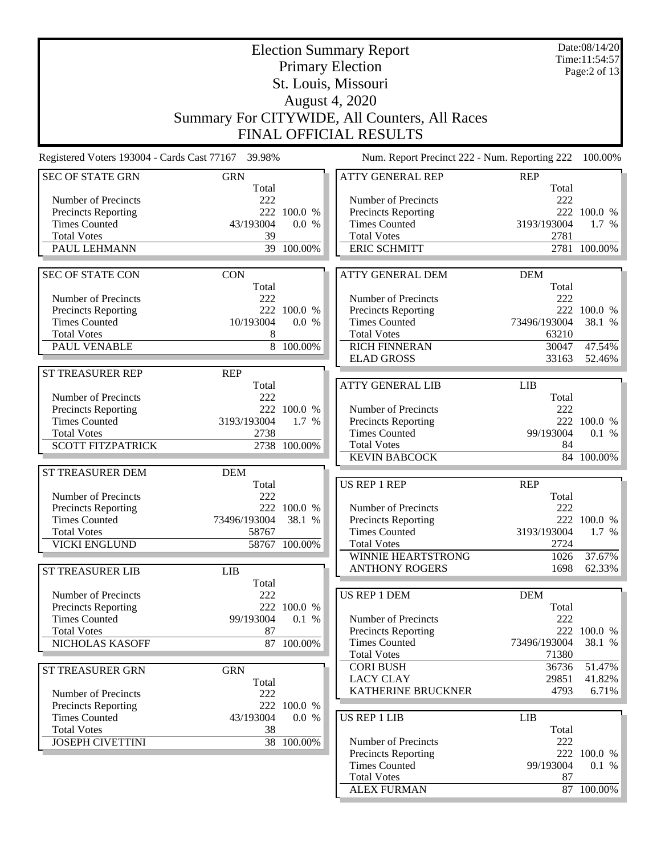|                                                    |                     |                       |  | <b>Election Summary Report</b>                     |                     | Date:08/14/20<br>Time:11:54:57 |  |
|----------------------------------------------------|---------------------|-----------------------|--|----------------------------------------------------|---------------------|--------------------------------|--|
|                                                    |                     |                       |  | <b>Primary Election</b>                            |                     | Page:2 of 13                   |  |
|                                                    |                     |                       |  | St. Louis, Missouri                                |                     |                                |  |
|                                                    |                     | <b>August 4, 2020</b> |  |                                                    |                     |                                |  |
|                                                    |                     |                       |  |                                                    |                     |                                |  |
|                                                    |                     |                       |  | Summary For CITYWIDE, All Counters, All Races      |                     |                                |  |
| <b>FINAL OFFICIAL RESULTS</b>                      |                     |                       |  |                                                    |                     |                                |  |
| Registered Voters 193004 - Cards Cast 77167 39.98% |                     |                       |  | Num. Report Precinct 222 - Num. Reporting 222      |                     | 100.00%                        |  |
| <b>SEC OF STATE GRN</b>                            | <b>GRN</b><br>Total |                       |  | <b>ATTY GENERAL REP</b>                            | <b>REP</b><br>Total |                                |  |
| Number of Precincts                                | 222                 |                       |  | Number of Precincts                                | 222                 |                                |  |
| Precincts Reporting                                | 222                 | 100.0 %               |  | <b>Precincts Reporting</b>                         |                     | 222 100.0 %                    |  |
| <b>Times Counted</b>                               | 43/193004           | 0.0 %                 |  | <b>Times Counted</b>                               | 3193/193004         | 1.7 %                          |  |
| <b>Total Votes</b><br>PAUL LEHMANN                 | 39                  | 39 100.00%            |  | <b>Total Votes</b><br><b>ERIC SCHMITT</b>          | 2781                | 2781 100.00%                   |  |
|                                                    |                     |                       |  |                                                    |                     |                                |  |
| <b>SEC OF STATE CON</b>                            | <b>CON</b><br>Total |                       |  | <b>ATTY GENERAL DEM</b>                            | <b>DEM</b><br>Total |                                |  |
| Number of Precincts                                | 222                 |                       |  | Number of Precincts                                | 222                 |                                |  |
| Precincts Reporting                                |                     | 222 100.0 %           |  | Precincts Reporting                                |                     | 222 100.0 %                    |  |
| <b>Times Counted</b>                               | 10/193004           | 0.0 %                 |  | <b>Times Counted</b>                               | 73496/193004        | 38.1 %                         |  |
| <b>Total Votes</b>                                 | 8                   |                       |  | <b>Total Votes</b>                                 | 63210               |                                |  |
| PAUL VENABLE                                       |                     | 8 100.00%             |  | <b>RICH FINNERAN</b>                               | 30047               | 47.54%                         |  |
|                                                    |                     |                       |  | <b>ELAD GROSS</b>                                  | 33163               | 52.46%                         |  |
| <b>ST TREASURER REP</b>                            | <b>REP</b>          |                       |  | <b>ATTY GENERAL LIB</b>                            |                     |                                |  |
| Number of Precincts                                | Total<br>222        |                       |  |                                                    | <b>LIB</b><br>Total |                                |  |
| Precincts Reporting                                |                     | 222 100.0 %           |  | Number of Precincts                                | 222                 |                                |  |
| <b>Times Counted</b>                               | 3193/193004         | 1.7 %                 |  | <b>Precincts Reporting</b>                         |                     | 222 100.0 %                    |  |
| <b>Total Votes</b>                                 | 2738                |                       |  | <b>Times Counted</b>                               | 99/193004           | 0.1 %                          |  |
| <b>SCOTT FITZPATRICK</b>                           |                     | 2738 100.00%          |  | <b>Total Votes</b>                                 | 84                  |                                |  |
|                                                    |                     |                       |  | <b>KEVIN BABCOCK</b>                               |                     | 84 100.00%                     |  |
| ST TREASURER DEM                                   | <b>DEM</b>          |                       |  |                                                    |                     |                                |  |
|                                                    | Total               |                       |  | US REP 1 REP                                       | <b>REP</b>          |                                |  |
| Number of Precincts                                | 222                 |                       |  |                                                    | Total               |                                |  |
| Precincts Reporting<br><b>Times Counted</b>        | 73496/193004        | 222 100.0 %<br>38.1 % |  | Number of Precincts<br><b>Precincts Reporting</b>  | 222                 | 222 100.0 %                    |  |
| <b>Total Votes</b>                                 | 58767               |                       |  | <b>Times Counted</b>                               | 3193/193004         | 1.7 %                          |  |
| <b>VICKI ENGLUND</b>                               |                     | 58767 100.00%         |  | <b>Total Votes</b>                                 | 2724                |                                |  |
|                                                    |                     |                       |  | WINNIE HEARTSTRONG                                 | 1026                | 37.67%                         |  |
| ST TREASURER LIB                                   | <b>LIB</b>          |                       |  | <b>ANTHONY ROGERS</b>                              | 1698                | 62.33%                         |  |
|                                                    | Total               |                       |  |                                                    |                     |                                |  |
| Number of Precincts                                | 222                 |                       |  | <b>US REP 1 DEM</b>                                | <b>DEM</b>          |                                |  |
| Precincts Reporting                                |                     | 222 100.0 %           |  |                                                    | Total               |                                |  |
| <b>Times Counted</b>                               | 99/193004           | 0.1 %                 |  | Number of Precincts                                | 222                 |                                |  |
| <b>Total Votes</b><br>NICHOLAS KASOFF              | 87                  | 87 100.00%            |  | Precincts Reporting<br><b>Times Counted</b>        | 73496/193004        | 222 100.0 %<br>38.1 %          |  |
|                                                    |                     |                       |  | <b>Total Votes</b>                                 | 71380               |                                |  |
| ST TREASURER GRN                                   | <b>GRN</b>          |                       |  | <b>CORI BUSH</b>                                   | 36736               | 51.47%                         |  |
|                                                    | Total               |                       |  | <b>LACY CLAY</b>                                   | 29851               | 41.82%                         |  |
| Number of Precincts                                | 222                 |                       |  | KATHERINE BRUCKNER                                 | 4793                | 6.71%                          |  |
| Precincts Reporting                                |                     | 222 100.0 %           |  |                                                    |                     |                                |  |
| <b>Times Counted</b>                               | 43/193004           | 0.0 %                 |  | US REP 1 LIB                                       | LIB                 |                                |  |
| <b>Total Votes</b>                                 | 38                  |                       |  |                                                    | Total               |                                |  |
| <b>JOSEPH CIVETTINI</b>                            |                     | 38 100.00%            |  | Number of Precincts                                | 222                 |                                |  |
|                                                    |                     |                       |  | <b>Precincts Reporting</b><br><b>Times Counted</b> | 99/193004           | 222 100.0 %<br>0.1 %           |  |
|                                                    |                     |                       |  | <b>Total Votes</b>                                 | 87                  |                                |  |
|                                                    |                     |                       |  | <b>ALEX FURMAN</b>                                 |                     | 87 100.00%                     |  |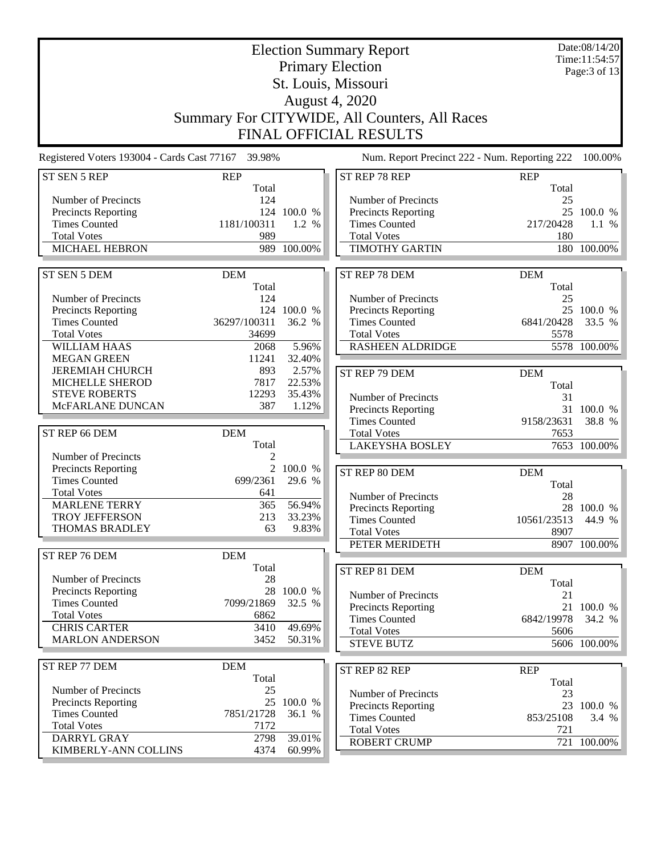| <b>Election Summary Report</b><br><b>Primary Election</b><br>St. Louis, Missouri<br>August 4, 2020<br>Summary For CITYWIDE, All Counters, All Races<br><b>FINAL OFFICIAL RESULTS</b> |                                               |                                     |                                                                                                                     |                                   | Date:08/14/20<br>Time:11:54:57<br>Page: 3 of 13 |
|--------------------------------------------------------------------------------------------------------------------------------------------------------------------------------------|-----------------------------------------------|-------------------------------------|---------------------------------------------------------------------------------------------------------------------|-----------------------------------|-------------------------------------------------|
| Registered Voters 193004 - Cards Cast 77167 39.98%                                                                                                                                   |                                               |                                     | Num. Report Precinct 222 - Num. Reporting 222                                                                       |                                   | 100.00%                                         |
| ST SEN 5 REP                                                                                                                                                                         | <b>REP</b>                                    |                                     | ST REP 78 REP                                                                                                       | <b>REP</b>                        |                                                 |
| Number of Precincts<br>Precincts Reporting<br><b>Times Counted</b><br><b>Total Votes</b><br>MICHAEL HEBRON                                                                           | Total<br>124<br>1181/100311<br>989            | 124 100.0 %<br>1.2 %<br>989 100.00% | Number of Precincts<br>Precincts Reporting<br><b>Times Counted</b><br><b>Total Votes</b><br><b>TIMOTHY GARTIN</b>   | Total<br>25<br>217/20428<br>180   | 25 100.0 %<br>1.1 %<br>180 100.00%              |
| ST SEN 5 DEM                                                                                                                                                                         | <b>DEM</b>                                    |                                     | ST REP 78 DEM                                                                                                       | <b>DEM</b>                        |                                                 |
| Number of Precincts<br><b>Precincts Reporting</b><br><b>Times Counted</b><br><b>Total Votes</b><br><b>WILLIAM HAAS</b>                                                               | Total<br>124<br>36297/100311<br>34699<br>2068 | 124 100.0 %<br>36.2 %<br>5.96%      | Number of Precincts<br>Precincts Reporting<br><b>Times Counted</b><br><b>Total Votes</b><br><b>RASHEEN ALDRIDGE</b> | Total<br>25<br>6841/20428<br>5578 | 25 100.0 %<br>33.5 %<br>5578 100.00%            |
| <b>MEGAN GREEN</b><br><b>JEREMIAH CHURCH</b>                                                                                                                                         | 11241<br>893                                  | 32.40%<br>2.57%                     |                                                                                                                     |                                   |                                                 |
| MICHELLE SHEROD<br><b>STEVE ROBERTS</b><br>McFARLANE DUNCAN                                                                                                                          | 7817<br>12293<br>387                          | 22.53%<br>35.43%<br>1.12%           | ST REP 79 DEM<br>Number of Precincts<br>Precincts Reporting                                                         | <b>DEM</b><br>Total<br>31         | 31 100.0 %                                      |
| ST REP 66 DEM                                                                                                                                                                        | <b>DEM</b>                                    |                                     | <b>Times Counted</b><br><b>Total Votes</b>                                                                          | 9158/23631<br>7653                | 38.8 %                                          |
|                                                                                                                                                                                      | Total                                         |                                     | <b>LAKEYSHA BOSLEY</b>                                                                                              |                                   | 7653 100.00%                                    |
| Number of Precincts<br>Precincts Reporting<br><b>Times Counted</b><br><b>Total Votes</b>                                                                                             | 2<br>$\overline{2}$<br>699/2361<br>641        | 100.0 %<br>29.6 %                   | ST REP 80 DEM<br>Number of Precincts                                                                                | <b>DEM</b><br>Total<br>28         |                                                 |
| <b>MARLENE TERRY</b><br>TROY JEFFERSON                                                                                                                                               | 365<br>213                                    | 56.94%<br>33.23%                    | Precincts Reporting                                                                                                 |                                   | 28 100.0 %                                      |
| <b>THOMAS BRADLEY</b>                                                                                                                                                                | 63                                            | 9.83%                               | <b>Times Counted</b><br><b>Total Votes</b>                                                                          | 10561/23513 44.9 %<br>8907        |                                                 |
|                                                                                                                                                                                      |                                               |                                     | PETER MERIDETH                                                                                                      |                                   | 8907 100.00%                                    |
| ST REP 76 DEM                                                                                                                                                                        | <b>DEM</b><br>Total                           |                                     | ST REP 81 DEM                                                                                                       | <b>DEM</b>                        |                                                 |
| Number of Precincts<br><b>Precincts Reporting</b><br><b>Times Counted</b>                                                                                                            | 28<br>28<br>7099/21869                        | 100.0 %<br>32.5 %                   | Number of Precincts<br><b>Precincts Reporting</b>                                                                   | Total<br>21                       | 21 100.0 %                                      |
| <b>Total Votes</b><br><b>CHRIS CARTER</b>                                                                                                                                            | 6862                                          |                                     | <b>Times Counted</b>                                                                                                | 6842/19978                        | 34.2 %                                          |
| <b>MARLON ANDERSON</b>                                                                                                                                                               | 3410<br>3452                                  | 49.69%<br>50.31%                    | <b>Total Votes</b><br><b>STEVE BUTZ</b>                                                                             | 5606                              | 5606 100.00%                                    |
| ST REP 77 DEM                                                                                                                                                                        | <b>DEM</b>                                    |                                     |                                                                                                                     |                                   |                                                 |
|                                                                                                                                                                                      | Total                                         |                                     | ST REP 82 REP                                                                                                       | <b>REP</b><br>Total               |                                                 |
| Number of Precincts<br>Precincts Reporting                                                                                                                                           | 25<br>25                                      | 100.0 %                             | Number of Precincts                                                                                                 | 23                                |                                                 |
| <b>Times Counted</b><br><b>Total Votes</b>                                                                                                                                           | 7851/21728<br>7172                            | 36.1 %                              | <b>Precincts Reporting</b><br><b>Times Counted</b><br><b>Total Votes</b>                                            | 853/25108<br>721                  | 23 100.0 %<br>3.4%                              |
| DARRYL GRAY<br>KIMBERLY-ANN COLLINS                                                                                                                                                  | 2798<br>4374                                  | 39.01%<br>60.99%                    | <b>ROBERT CRUMP</b>                                                                                                 |                                   | 721 100.00%                                     |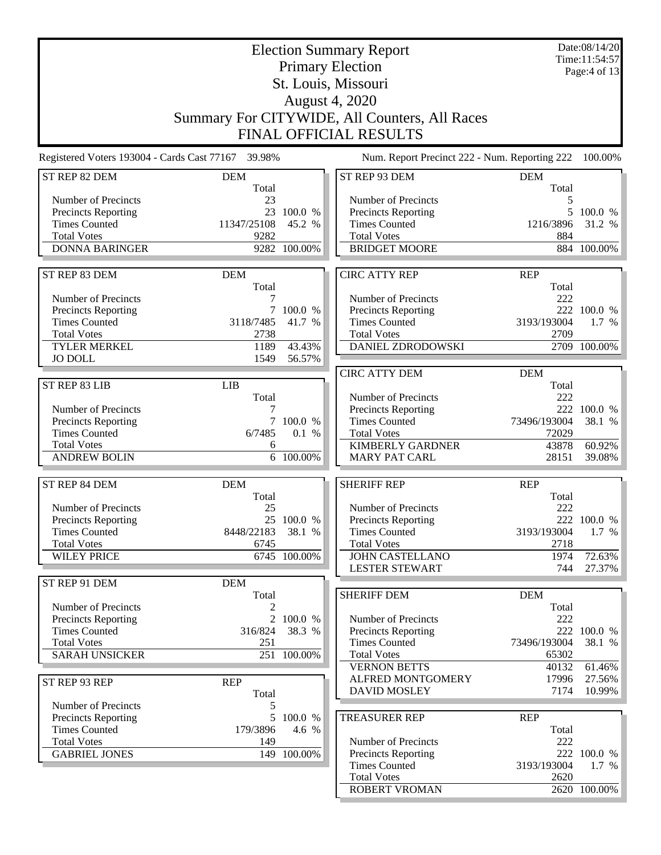| <b>Election Summary Report</b>                     |                     |                    |                                                   |                     | Date:08/14/20<br>Time:11:54:57 |  |  |  |
|----------------------------------------------------|---------------------|--------------------|---------------------------------------------------|---------------------|--------------------------------|--|--|--|
|                                                    |                     |                    | <b>Primary Election</b>                           |                     | Page:4 of 13                   |  |  |  |
|                                                    |                     |                    | St. Louis, Missouri                               |                     |                                |  |  |  |
|                                                    |                     |                    | August 4, 2020                                    |                     |                                |  |  |  |
| Summary For CITYWIDE, All Counters, All Races      |                     |                    |                                                   |                     |                                |  |  |  |
|                                                    |                     |                    |                                                   |                     |                                |  |  |  |
| <b>FINAL OFFICIAL RESULTS</b>                      |                     |                    |                                                   |                     |                                |  |  |  |
| Registered Voters 193004 - Cards Cast 77167 39.98% |                     |                    | Num. Report Precinct 222 - Num. Reporting 222     |                     | 100.00%                        |  |  |  |
| ST REP 82 DEM                                      | <b>DEM</b><br>Total |                    | ST REP 93 DEM                                     | <b>DEM</b><br>Total |                                |  |  |  |
| Number of Precincts                                | 23                  |                    | Number of Precincts                               | 5                   |                                |  |  |  |
| <b>Precincts Reporting</b>                         |                     | 23 100.0 %         | <b>Precincts Reporting</b>                        |                     | 5 100.0 %                      |  |  |  |
| <b>Times Counted</b>                               | 11347/25108         | 45.2 %             | <b>Times Counted</b>                              | 1216/3896           | 31.2 %                         |  |  |  |
| <b>Total Votes</b>                                 | 9282                |                    | <b>Total Votes</b>                                | 884                 |                                |  |  |  |
| <b>DONNA BARINGER</b>                              |                     | 9282 100.00%       | <b>BRIDGET MOORE</b>                              |                     | 884 100.00%                    |  |  |  |
| ST REP 83 DEM                                      | <b>DEM</b>          |                    | <b>CIRC ATTY REP</b>                              | <b>REP</b>          |                                |  |  |  |
|                                                    | Total               |                    |                                                   | Total               |                                |  |  |  |
| Number of Precincts                                | 7                   |                    | Number of Precincts                               | 222                 |                                |  |  |  |
| <b>Precincts Reporting</b>                         |                     | 7 100.0 %          | Precincts Reporting                               |                     | 222 100.0 %                    |  |  |  |
| <b>Times Counted</b>                               | 3118/7485           | 41.7 %             | <b>Times Counted</b>                              | 3193/193004         | $1.7\%$                        |  |  |  |
| <b>Total Votes</b>                                 | 2738                |                    | <b>Total Votes</b>                                | 2709                |                                |  |  |  |
| <b>TYLER MERKEL</b>                                | 1189                | 43.43%             | DANIEL ZDRODOWSKI                                 |                     | 2709 100.00%                   |  |  |  |
| <b>JO DOLL</b>                                     | 1549                | 56.57%             |                                                   |                     |                                |  |  |  |
| ST REP 83 LIB                                      | <b>LIB</b>          |                    | <b>CIRC ATTY DEM</b>                              | <b>DEM</b><br>Total |                                |  |  |  |
|                                                    | Total               |                    | Number of Precincts                               | 222                 |                                |  |  |  |
| Number of Precincts                                |                     |                    | <b>Precincts Reporting</b>                        |                     | 222 100.0 %                    |  |  |  |
| <b>Precincts Reporting</b>                         |                     | 7 100.0 %          | <b>Times Counted</b>                              | 73496/193004        | 38.1 %                         |  |  |  |
| <b>Times Counted</b>                               | 6/7485              | 0.1 %              | <b>Total Votes</b>                                | 72029               |                                |  |  |  |
| <b>Total Votes</b>                                 | 6                   |                    | <b>KIMBERLY GARDNER</b>                           | 43878               | 60.92%                         |  |  |  |
| <b>ANDREW BOLIN</b>                                |                     | 6 100.00%          | <b>MARY PAT CARL</b>                              | 28151               | 39.08%                         |  |  |  |
| ST REP 84 DEM                                      | <b>DEM</b>          |                    | <b>SHERIFF REP</b>                                | <b>REP</b>          |                                |  |  |  |
|                                                    | Total               |                    |                                                   | Total               |                                |  |  |  |
| Number of Precincts<br><b>Precincts Reporting</b>  | 25                  | 25 100.0 %         | Number of Precincts<br><b>Precincts Reporting</b> | 222                 | 222 100.0 %                    |  |  |  |
| <b>Times Counted</b>                               | 8448/22183 38.1 %   |                    | <b>Times Counted</b>                              | 3193/193004         | 1.7 %                          |  |  |  |
| <b>Total Votes</b>                                 | 6745                |                    | <b>Total Votes</b>                                | 2718                |                                |  |  |  |
| <b>WILEY PRICE</b>                                 |                     | 6745 100.00%       | <b>JOHN CASTELLANO</b>                            | 1974                | 72.63%                         |  |  |  |
|                                                    |                     |                    | <b>LESTER STEWART</b>                             | 744                 | 27.37%                         |  |  |  |
| ST REP 91 DEM                                      | <b>DEM</b>          |                    |                                                   |                     |                                |  |  |  |
|                                                    | Total               |                    | <b>SHERIFF DEM</b>                                | <b>DEM</b>          |                                |  |  |  |
| Number of Precincts<br><b>Precincts Reporting</b>  |                     | 2 100.0 %          | Number of Precincts                               | Total<br>222        |                                |  |  |  |
| <b>Times Counted</b>                               | 316/824             | 38.3 %             | <b>Precincts Reporting</b>                        |                     | 222 100.0 %                    |  |  |  |
| <b>Total Votes</b>                                 | 251                 |                    | <b>Times Counted</b>                              | 73496/193004        | 38.1 %                         |  |  |  |
| <b>SARAH UNSICKER</b>                              |                     | 251 100.00%        | <b>Total Votes</b>                                | 65302               |                                |  |  |  |
|                                                    |                     |                    | <b>VERNON BETTS</b>                               | 40132               | 61.46%                         |  |  |  |
| ST REP 93 REP                                      | <b>REP</b>          |                    | ALFRED MONTGOMERY                                 | 17996               | 27.56%                         |  |  |  |
|                                                    | Total               |                    | <b>DAVID MOSLEY</b>                               | 7174                | $10.99\%$                      |  |  |  |
| Number of Precincts                                | 5                   |                    |                                                   |                     |                                |  |  |  |
| <b>Precincts Reporting</b><br><b>Times Counted</b> | 179/3896            | 5 100.0 %<br>4.6 % | <b>TREASURER REP</b>                              | <b>REP</b><br>Total |                                |  |  |  |
| <b>Total Votes</b>                                 | 149                 |                    | Number of Precincts                               | 222                 |                                |  |  |  |
| <b>GABRIEL JONES</b>                               |                     | 149 100.00%        | <b>Precincts Reporting</b>                        |                     | 222 100.0 %                    |  |  |  |
|                                                    |                     |                    | <b>Times Counted</b>                              | 3193/193004         | 1.7 %                          |  |  |  |
|                                                    |                     |                    | <b>Total Votes</b>                                | 2620                |                                |  |  |  |
|                                                    |                     |                    | ROBERT VROMAN                                     |                     | 2620 100.00%                   |  |  |  |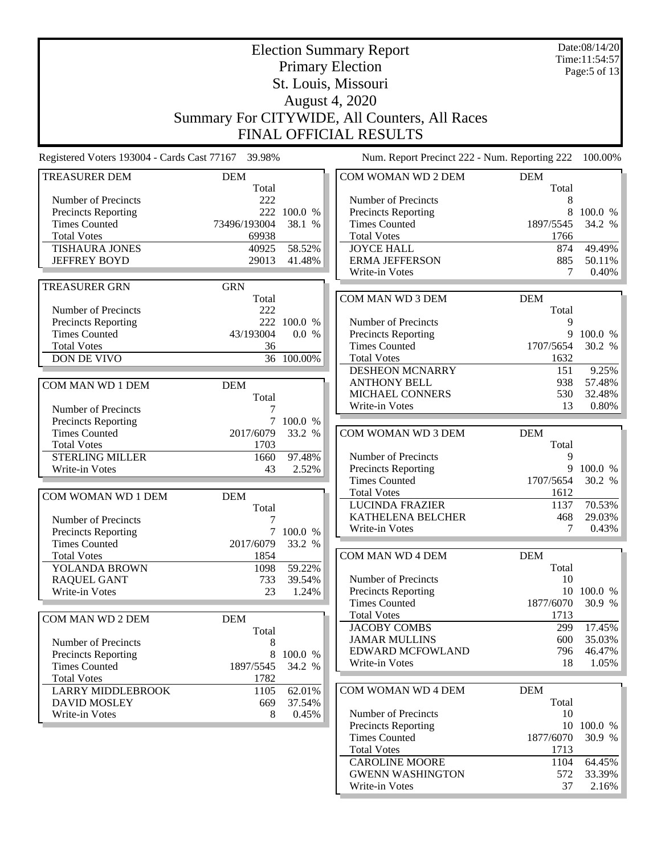|                                                    | Date:08/14/20<br><b>Election Summary Report</b><br>Time:11:54:57 |             |                                                   |                     |                                                 |  |  |
|----------------------------------------------------|------------------------------------------------------------------|-------------|---------------------------------------------------|---------------------|-------------------------------------------------|--|--|
|                                                    |                                                                  |             | <b>Primary Election</b>                           |                     | Page:5 of 13                                    |  |  |
|                                                    |                                                                  |             | St. Louis, Missouri                               |                     |                                                 |  |  |
|                                                    | August 4, 2020                                                   |             |                                                   |                     |                                                 |  |  |
|                                                    |                                                                  |             | Summary For CITYWIDE, All Counters, All Races     |                     |                                                 |  |  |
|                                                    |                                                                  |             |                                                   |                     |                                                 |  |  |
|                                                    |                                                                  |             | <b>FINAL OFFICIAL RESULTS</b>                     |                     |                                                 |  |  |
| Registered Voters 193004 - Cards Cast 77167 39.98% |                                                                  |             | Num. Report Precinct 222 - Num. Reporting 222     |                     | 100.00%                                         |  |  |
| <b>TREASURER DEM</b>                               | <b>DEM</b><br>Total                                              |             | COM WOMAN WD 2 DEM                                | <b>DEM</b><br>Total |                                                 |  |  |
| Number of Precincts                                | 222                                                              |             | Number of Precincts                               | 8                   |                                                 |  |  |
| Precincts Reporting                                | 222                                                              | 100.0 %     | Precincts Reporting                               | 8                   | 100.0 %                                         |  |  |
| <b>Times Counted</b>                               | 73496/193004                                                     | 38.1 %      | <b>Times Counted</b>                              | 1897/5545           | 34.2 %                                          |  |  |
| <b>Total Votes</b>                                 | 69938                                                            |             | <b>Total Votes</b>                                | 1766                |                                                 |  |  |
| <b>TISHAURA JONES</b>                              | 40925                                                            | 58.52%      | <b>JOYCE HALL</b>                                 | 874                 | 49.49%                                          |  |  |
| <b>JEFFREY BOYD</b>                                | 29013                                                            | 41.48%      | <b>ERMA JEFFERSON</b>                             | 885                 | 50.11%                                          |  |  |
|                                                    |                                                                  |             | Write-in Votes                                    | 7                   | 0.40%                                           |  |  |
| <b>TREASURER GRN</b>                               | <b>GRN</b><br>Total                                              |             | COM MAN WD 3 DEM                                  | <b>DEM</b>          |                                                 |  |  |
| Number of Precincts                                | 222                                                              |             |                                                   | Total               |                                                 |  |  |
| <b>Precincts Reporting</b>                         |                                                                  | 222 100.0 % | Number of Precincts                               | 9                   |                                                 |  |  |
| <b>Times Counted</b>                               | 43/193004                                                        | 0.0 %       | Precincts Reporting                               | 9                   | 100.0 %                                         |  |  |
| <b>Total Votes</b>                                 | 36                                                               |             | <b>Times Counted</b>                              | 1707/5654           | 30.2 %                                          |  |  |
| DON DE VIVO                                        |                                                                  | 36 100.00%  | <b>Total Votes</b>                                | 1632                |                                                 |  |  |
|                                                    |                                                                  |             | DESHEON MCNARRY                                   | 151                 | 9.25%                                           |  |  |
| COM MAN WD 1 DEM                                   | <b>DEM</b>                                                       |             | <b>ANTHONY BELL</b>                               | 938                 | 57.48%                                          |  |  |
|                                                    | Total                                                            |             | MICHAEL CONNERS                                   | 530                 | 32.48%                                          |  |  |
| Number of Precincts                                |                                                                  |             | Write-in Votes                                    | 13                  | 0.80%                                           |  |  |
| Precincts Reporting                                |                                                                  | 7 100.0 %   |                                                   | <b>DEM</b>          |                                                 |  |  |
| <b>Times Counted</b><br><b>Total Votes</b>         | 2017/6079<br>1703                                                | 33.2 %      | COM WOMAN WD 3 DEM                                | Total               |                                                 |  |  |
| <b>STERLING MILLER</b>                             | 1660                                                             | 97.48%      | Number of Precincts                               | 9                   |                                                 |  |  |
| Write-in Votes                                     | 43                                                               | 2.52%       | Precincts Reporting                               | 9                   | 100.0 %                                         |  |  |
|                                                    |                                                                  |             |                                                   |                     |                                                 |  |  |
|                                                    |                                                                  |             | <b>Times Counted</b>                              | 1707/5654           | 30.2 %                                          |  |  |
| COM WOMAN WD 1 DEM                                 | <b>DEM</b>                                                       |             | <b>Total Votes</b>                                | 1612                |                                                 |  |  |
|                                                    | Total                                                            |             | <b>LUCINDA FRAZIER</b>                            | 1137                | 70.53%                                          |  |  |
| Number of Precincts                                | 7                                                                |             | KATHELENA BELCHER                                 | 468                 | 29.03%                                          |  |  |
| Precincts Reporting                                |                                                                  | 7 100.0 %   | Write-in Votes                                    | 7                   |                                                 |  |  |
| <b>Times Counted</b>                               | 2017/6079                                                        | 33.2 %      |                                                   |                     |                                                 |  |  |
| <b>Total Votes</b>                                 | 1854                                                             |             | COM MAN WD 4 DEM                                  | <b>DEM</b>          |                                                 |  |  |
| YOLANDA BROWN                                      | 1098                                                             | 59.22%      |                                                   | Total               |                                                 |  |  |
| <b>RAQUEL GANT</b><br>Write-in Votes               | 733<br>23                                                        | 39.54%      | Number of Precincts<br><b>Precincts Reporting</b> | 10                  | 10 100.0 %                                      |  |  |
|                                                    |                                                                  | 1.24%       | <b>Times Counted</b>                              | 1877/6070           | 30.9 %                                          |  |  |
| COM MAN WD 2 DEM                                   | <b>DEM</b>                                                       |             | <b>Total Votes</b>                                | 1713                |                                                 |  |  |
|                                                    | Total                                                            |             | <b>JACOBY COMBS</b>                               | 299                 | 17.45%                                          |  |  |
| Number of Precincts                                | 8                                                                |             | <b>JAMAR MULLINS</b>                              | 600                 |                                                 |  |  |
| Precincts Reporting                                | 8                                                                | 100.0 %     | EDWARD MCFOWLAND                                  | 796                 |                                                 |  |  |
| <b>Times Counted</b>                               | 1897/5545                                                        | 34.2 %      | Write-in Votes                                    | 18                  |                                                 |  |  |
| <b>Total Votes</b>                                 | 1782                                                             |             |                                                   |                     |                                                 |  |  |
| <b>LARRY MIDDLEBROOK</b>                           | 1105                                                             | 62.01%      | COM WOMAN WD 4 DEM                                | <b>DEM</b>          |                                                 |  |  |
| <b>DAVID MOSLEY</b>                                | 669                                                              | 37.54%      | Number of Precincts                               | Total<br>10         |                                                 |  |  |
| Write-in Votes                                     | 8                                                                | 0.45%       | <b>Precincts Reporting</b>                        |                     | 10 100.0 %                                      |  |  |
|                                                    |                                                                  |             | <b>Times Counted</b>                              | 1877/6070           | 0.43%<br>35.03%<br>46.47%<br>$1.05\%$<br>30.9 % |  |  |
|                                                    |                                                                  |             | <b>Total Votes</b>                                | 1713                |                                                 |  |  |
|                                                    |                                                                  |             | <b>CAROLINE MOORE</b>                             | 1104                | 64.45%                                          |  |  |
|                                                    |                                                                  |             | <b>GWENN WASHINGTON</b><br>Write-in Votes         | 572<br>37           | 33.39%<br>2.16%                                 |  |  |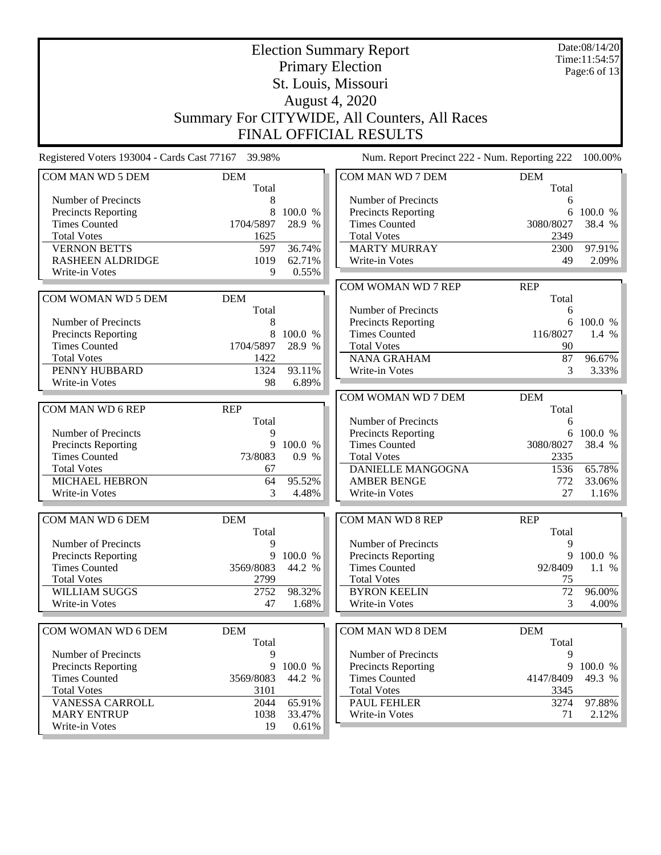|                                                    | Date:08/14/20       |               |                                               |                     |         |
|----------------------------------------------------|---------------------|---------------|-----------------------------------------------|---------------------|---------|
|                                                    |                     | Time:11:54:57 |                                               |                     |         |
|                                                    |                     | Page:6 of 13  |                                               |                     |         |
|                                                    |                     |               | St. Louis, Missouri                           |                     |         |
|                                                    |                     |               | August 4, 2020                                |                     |         |
|                                                    |                     |               | Summary For CITYWIDE, All Counters, All Races |                     |         |
|                                                    |                     |               |                                               |                     |         |
|                                                    |                     |               | <b>FINAL OFFICIAL RESULTS</b>                 |                     |         |
| Registered Voters 193004 - Cards Cast 77167 39.98% |                     |               | Num. Report Precinct 222 - Num. Reporting 222 |                     | 100.00% |
| COM MAN WD 5 DEM                                   | <b>DEM</b>          |               | COM MAN WD 7 DEM                              | <b>DEM</b>          |         |
|                                                    | Total               |               |                                               | Total               |         |
| Number of Precincts                                | 8                   |               | Number of Precincts                           | 6                   |         |
| Precincts Reporting                                | 8                   | 100.0 %       | Precincts Reporting                           | 6                   | 100.0 % |
| <b>Times Counted</b>                               | 1704/5897           | 28.9 %        | <b>Times Counted</b>                          | 3080/8027           | 38.4 %  |
| <b>Total Votes</b>                                 | 1625                |               | <b>Total Votes</b>                            | 2349                |         |
| <b>VERNON BETTS</b>                                | 597                 | 36.74%        | <b>MARTY MURRAY</b>                           | 2300                | 97.91%  |
| <b>RASHEEN ALDRIDGE</b>                            | 1019                | 62.71%        | Write-in Votes                                | 49                  | 2.09%   |
| Write-in Votes                                     | 9                   | 0.55%         |                                               |                     |         |
|                                                    |                     |               | COM WOMAN WD 7 REP                            | <b>REP</b>          |         |
| COM WOMAN WD 5 DEM                                 | <b>DEM</b>          |               |                                               | Total               |         |
|                                                    | Total               |               | Number of Precincts                           | 6                   |         |
| Number of Precincts                                | 8                   |               | Precincts Reporting                           | 6                   | 100.0 % |
| <b>Precincts Reporting</b>                         | 8                   | 100.0 %       | <b>Times Counted</b>                          | 116/8027            | 1.4 %   |
| <b>Times Counted</b>                               | 1704/5897           | 28.9 %        | <b>Total Votes</b>                            | 90                  |         |
| <b>Total Votes</b>                                 | 1422                |               | <b>NANA GRAHAM</b>                            | 87                  | 96.67%  |
| PENNY HUBBARD                                      | 1324                | 93.11%        | Write-in Votes                                | 3                   | 3.33%   |
| Write-in Votes                                     | 98                  | 6.89%         |                                               |                     |         |
|                                                    |                     |               | COM WOMAN WD 7 DEM                            | <b>DEM</b>          |         |
| COM MAN WD 6 REP                                   | <b>REP</b>          |               |                                               | Total               |         |
|                                                    | Total               |               | Number of Precincts                           | 6                   |         |
| Number of Precincts                                | 9                   |               | <b>Precincts Reporting</b>                    | 6                   | 100.0 % |
| Precincts Reporting                                | 9                   | 100.0 %       | <b>Times Counted</b>                          | 3080/8027           | 38.4 %  |
| <b>Times Counted</b>                               | 73/8083             | 0.9 %         | <b>Total Votes</b>                            | 2335                |         |
| <b>Total Votes</b>                                 | 67                  |               | <b>DANIELLE MANGOGNA</b>                      | 1536                | 65.78%  |
| <b>MICHAEL HEBRON</b>                              | 64                  | 95.52%        | <b>AMBER BENGE</b>                            | 772                 | 33.06%  |
| Write-in Votes                                     | 3                   | 4.48%         | Write-in Votes                                | 27                  | 1.16%   |
|                                                    |                     |               |                                               |                     |         |
| COM MAN WD 6 DEM                                   | <b>DEM</b>          |               | <b>COM MAN WD 8 REP</b>                       | <b>REP</b>          |         |
|                                                    | Total               |               |                                               | Total               |         |
| Number of Precincts                                | 9                   |               | Number of Precincts                           | 9                   |         |
| <b>Precincts Reporting</b>                         | 9                   | 100.0 %       | <b>Precincts Reporting</b>                    | 9                   | 100.0 % |
| <b>Times Counted</b>                               | 3569/8083           | 44.2 %        | <b>Times Counted</b>                          | 92/8409             | $1.1\%$ |
| <b>Total Votes</b>                                 | 2799                |               | <b>Total Votes</b>                            | 75                  |         |
| WILLIAM SUGGS                                      | 2752                | 98.32%        | <b>BYRON KEELIN</b>                           | 72                  | 96.00%  |
| Write-in Votes                                     | 47                  | 1.68%         | Write-in Votes                                | 3                   | 4.00%   |
|                                                    |                     |               |                                               |                     |         |
| COM WOMAN WD 6 DEM                                 | <b>DEM</b><br>Total |               | COM MAN WD 8 DEM                              | <b>DEM</b><br>Total |         |
| Number of Precincts                                | 9                   |               | Number of Precincts                           | 9                   |         |
| Precincts Reporting                                | 9                   | 100.0 %       | Precincts Reporting                           | 9                   | 100.0 % |
| <b>Times Counted</b>                               | 3569/8083           | 44.2 %        | <b>Times Counted</b>                          | 4147/8409           | 49.3 %  |
| <b>Total Votes</b>                                 | 3101                |               | <b>Total Votes</b>                            | 3345                |         |
| <b>VANESSA CARROLL</b>                             | 2044                | 65.91%        | PAUL FEHLER                                   | 3274                | 97.88%  |
| <b>MARY ENTRUP</b>                                 | 1038                | 33.47%        | Write-in Votes                                | 71                  | 2.12%   |
| Write-in Votes                                     | 19                  | 0.61%         |                                               |                     |         |
|                                                    |                     |               |                                               |                     |         |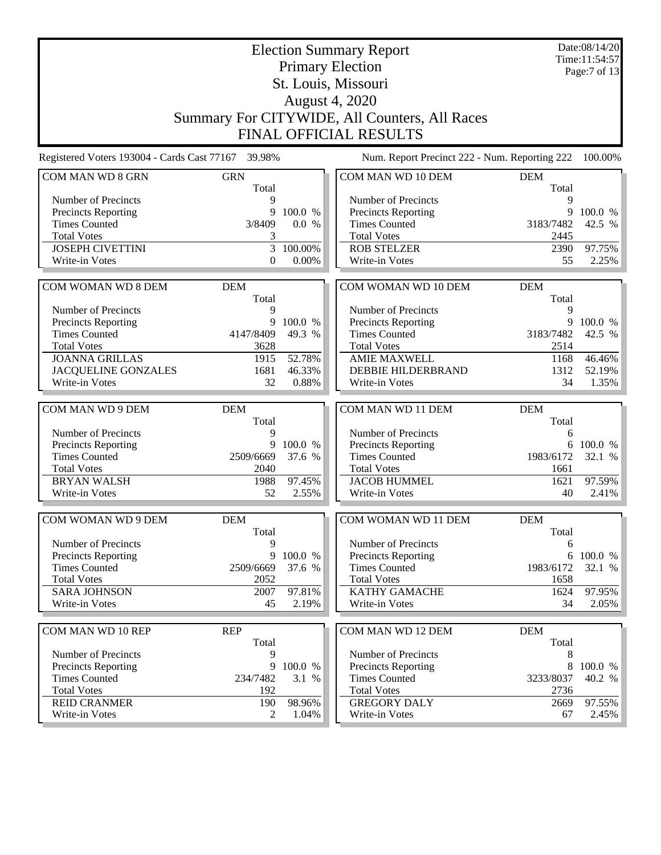|                                                    | Date:08/14/20<br>Time:11:54:57                |                  |                                                |            |                 |  |
|----------------------------------------------------|-----------------------------------------------|------------------|------------------------------------------------|------------|-----------------|--|
|                                                    |                                               | Page:7 of 13     |                                                |            |                 |  |
|                                                    |                                               |                  | <b>Primary Election</b><br>St. Louis, Missouri |            |                 |  |
|                                                    |                                               |                  | <b>August 4, 2020</b>                          |            |                 |  |
|                                                    |                                               |                  |                                                |            |                 |  |
|                                                    | Summary For CITYWIDE, All Counters, All Races |                  |                                                |            |                 |  |
|                                                    |                                               |                  | <b>FINAL OFFICIAL RESULTS</b>                  |            |                 |  |
| Registered Voters 193004 - Cards Cast 77167 39.98% |                                               |                  | Num. Report Precinct 222 - Num. Reporting 222  |            | 100.00%         |  |
| COM MAN WD 8 GRN                                   | <b>GRN</b>                                    |                  | COM MAN WD 10 DEM                              | <b>DEM</b> |                 |  |
|                                                    | Total                                         |                  |                                                | Total      |                 |  |
| Number of Precincts                                | 9                                             |                  | Number of Precincts                            | 9          |                 |  |
| <b>Precincts Reporting</b>                         | 9                                             | 100.0 %          | Precincts Reporting                            | 9          | 100.0 %         |  |
| <b>Times Counted</b>                               | 3/8409                                        | 0.0 %            | <b>Times Counted</b>                           | 3183/7482  | 42.5 %          |  |
| <b>Total Votes</b><br><b>JOSEPH CIVETTINI</b>      | 3<br>3                                        |                  | <b>Total Votes</b><br><b>ROB STELZER</b>       | 2445       |                 |  |
| Write-in Votes                                     | 0                                             | 100.00%<br>0.00% | Write-in Votes                                 | 2390<br>55 | 97.75%<br>2.25% |  |
|                                                    |                                               |                  |                                                |            |                 |  |
| COM WOMAN WD 8 DEM                                 | <b>DEM</b>                                    |                  | COM WOMAN WD 10 DEM                            | <b>DEM</b> |                 |  |
|                                                    | Total                                         |                  |                                                | Total      |                 |  |
| Number of Precincts                                | 9                                             |                  | Number of Precincts                            | 9          |                 |  |
| Precincts Reporting                                | 9                                             | 100.0 %          | <b>Precincts Reporting</b>                     | 9          | 100.0 %         |  |
| <b>Times Counted</b>                               | 4147/8409                                     | 49.3 %           | <b>Times Counted</b>                           | 3183/7482  | 42.5 %          |  |
| <b>Total Votes</b>                                 | 3628                                          |                  | <b>Total Votes</b>                             | 2514       |                 |  |
| <b>JOANNA GRILLAS</b>                              | 1915                                          | 52.78%           | <b>AMIE MAXWELL</b>                            | 1168       | 46.46%          |  |
| <b>JACQUELINE GONZALES</b>                         | 1681                                          | 46.33%           | DEBBIE HILDERBRAND                             | 1312       | 52.19%          |  |
| Write-in Votes                                     | 32                                            | 0.88%            | Write-in Votes                                 | 34         | 1.35%           |  |
|                                                    |                                               |                  |                                                |            |                 |  |
| COM MAN WD 9 DEM                                   | <b>DEM</b>                                    |                  | COM MAN WD 11 DEM                              | <b>DEM</b> |                 |  |
|                                                    | Total                                         |                  |                                                | Total      |                 |  |
| Number of Precincts                                | 9                                             |                  | Number of Precincts                            | 6          |                 |  |
| Precincts Reporting                                | 9                                             | 100.0 %          | Precincts Reporting                            |            | 6 100.0 %       |  |
| <b>Times Counted</b>                               | 2509/6669                                     | 37.6 %           | <b>Times Counted</b>                           | 1983/6172  | 32.1 %          |  |
| <b>Total Votes</b>                                 | 2040                                          |                  | <b>Total Votes</b>                             | 1661       |                 |  |
| <b>BRYAN WALSH</b>                                 | 1988                                          | 97.45%           | <b>JACOB HUMMEL</b>                            | 1621       | 97.59%          |  |
| Write-in Votes                                     | 52                                            | 2.55%            | Write-in Votes                                 | 40         | 2.41%           |  |
|                                                    |                                               |                  |                                                |            |                 |  |
| <b>COM WOMAN WD 9 DEM</b>                          | <b>DEM</b>                                    |                  | <b>COM WOMAN WD 11 DEM</b>                     | <b>DEM</b> |                 |  |
| Number of Precincts                                | Total<br>9                                    |                  | Number of Precincts                            | Total<br>6 |                 |  |
| <b>Precincts Reporting</b>                         | 9                                             | 100.0 %          | <b>Precincts Reporting</b>                     | 6          | 100.0 %         |  |
| <b>Times Counted</b>                               | 2509/6669                                     | 37.6 %           | <b>Times Counted</b>                           | 1983/6172  | 32.1 %          |  |
| <b>Total Votes</b>                                 | 2052                                          |                  | <b>Total Votes</b>                             | 1658       |                 |  |
| <b>SARA JOHNSON</b>                                | 2007                                          | 97.81%           | <b>KATHY GAMACHE</b>                           | 1624       | 97.95%          |  |
| <b>Write-in Votes</b>                              | 45                                            | 2.19%            | Write-in Votes                                 | 34         | 2.05%           |  |
|                                                    |                                               |                  |                                                |            |                 |  |
| COM MAN WD 10 REP                                  | <b>REP</b>                                    |                  | COM MAN WD 12 DEM                              | <b>DEM</b> |                 |  |
|                                                    | Total                                         |                  |                                                | Total      |                 |  |
| Number of Precincts                                | 9                                             |                  | Number of Precincts                            | 8          |                 |  |
| Precincts Reporting                                | 9                                             | 100.0 %          | Precincts Reporting                            | 8          | 100.0 %         |  |
| <b>Times Counted</b>                               | 234/7482                                      | 3.1 %            | <b>Times Counted</b>                           | 3233/8037  | 40.2 %          |  |
| <b>Total Votes</b>                                 | 192                                           |                  | <b>Total Votes</b>                             | 2736       |                 |  |
| <b>REID CRANMER</b>                                | 190                                           | 98.96%           | <b>GREGORY DALY</b>                            | 2669       | 97.55%          |  |
| Write-in Votes                                     | 2                                             | 1.04%            | Write-in Votes                                 | 67         | $2.45\%$        |  |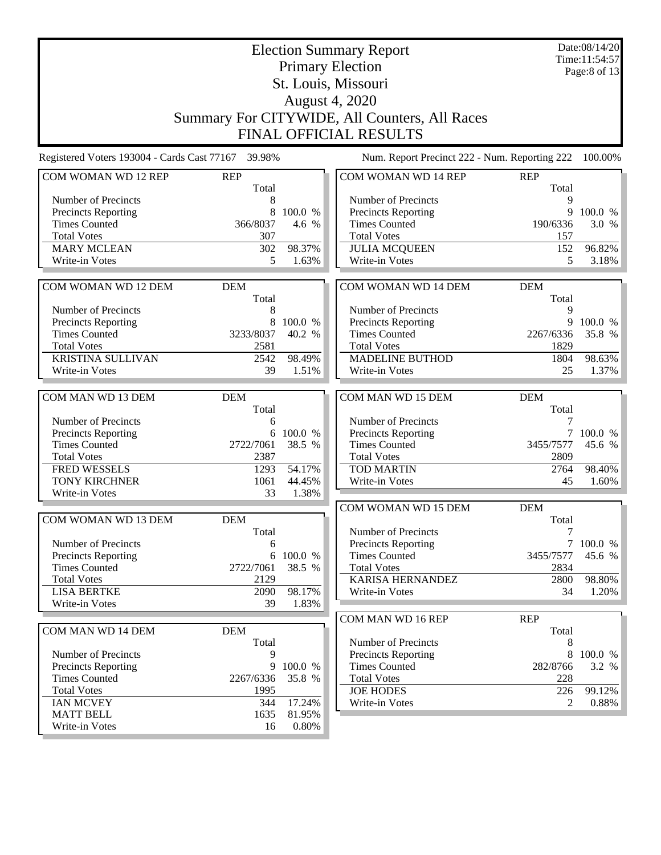|                                             |                   | Date:08/14/20<br>Time:11:54:57 |                                               |            |                   |
|---------------------------------------------|-------------------|--------------------------------|-----------------------------------------------|------------|-------------------|
|                                             |                   |                                | <b>Primary Election</b>                       |            | Page:8 of 13      |
|                                             |                   |                                | St. Louis, Missouri                           |            |                   |
|                                             |                   |                                | <b>August 4, 2020</b>                         |            |                   |
|                                             |                   |                                | Summary For CITYWIDE, All Counters, All Races |            |                   |
|                                             |                   |                                | FINAL OFFICIAL RESULTS                        |            |                   |
|                                             |                   |                                |                                               |            |                   |
| Registered Voters 193004 - Cards Cast 77167 | 39.98%            |                                | Num. Report Precinct 222 - Num. Reporting 222 |            | 100.00%           |
| COM WOMAN WD 12 REP                         | <b>REP</b>        |                                | COM WOMAN WD 14 REP                           | <b>REP</b> |                   |
| Number of Precincts                         | Total             |                                | Number of Precincts                           | Total      |                   |
| Precincts Reporting                         | 8<br>8            | 100.0 %                        | Precincts Reporting                           | 9<br>9     | 100.0 %           |
| <b>Times Counted</b>                        | 366/8037          | 4.6 %                          | <b>Times Counted</b>                          | 190/6336   | 3.0%              |
| <b>Total Votes</b>                          | 307               |                                | <b>Total Votes</b>                            | 157        |                   |
| <b>MARY MCLEAN</b>                          | 302               | 98.37%                         | <b>JULIA MCQUEEN</b>                          | 152        | 96.82%            |
| Write-in Votes                              | 5                 | 1.63%                          | Write-in Votes                                | 5          | 3.18%             |
|                                             |                   |                                |                                               |            |                   |
| COM WOMAN WD 12 DEM                         | <b>DEM</b>        |                                | COM WOMAN WD 14 DEM                           | <b>DEM</b> |                   |
|                                             | Total             |                                |                                               | Total      |                   |
| Number of Precincts                         | 8                 |                                | Number of Precincts                           | 9<br>9     |                   |
| Precincts Reporting<br><b>Times Counted</b> | 8<br>3233/8037    | 100.0 %<br>40.2 %              | Precincts Reporting<br><b>Times Counted</b>   | 2267/6336  | 100.0 %<br>35.8 % |
| <b>Total Votes</b>                          | 2581              |                                | <b>Total Votes</b>                            | 1829       |                   |
| <b>KRISTINA SULLIVAN</b>                    | 2542              | 98.49%                         | <b>MADELINE BUTHOD</b>                        | 1804       | 98.63%            |
| Write-in Votes                              | 39                | 1.51%                          | Write-in Votes                                | 25         | 1.37%             |
|                                             |                   |                                |                                               |            |                   |
| COM MAN WD 13 DEM                           | <b>DEM</b>        |                                | COM MAN WD 15 DEM                             | <b>DEM</b> |                   |
|                                             | Total             |                                |                                               | Total      |                   |
| Number of Precincts                         | 6                 |                                | Number of Precincts                           | 7          |                   |
| Precincts Reporting                         | 6                 | 100.0 %                        | Precincts Reporting                           | 7          | 100.0 %           |
| <b>Times Counted</b>                        | 2722/7061         | 38.5 %                         | <b>Times Counted</b>                          | 3455/7577  | 45.6 %            |
| <b>Total Votes</b>                          | 2387              |                                | <b>Total Votes</b>                            | 2809       |                   |
| FRED WESSELS                                | 1293              | 54.17%                         | <b>TOD MARTIN</b>                             | 2764       | 98.40%            |
| <b>TONY KIRCHNER</b>                        | 1061              | 44.45%                         | Write-in Votes                                | 45         | 1.60%             |
| Write-in Votes                              | 33                | 1.38%                          |                                               |            |                   |
|                                             |                   |                                | COM WOMAN WD 15 DEM                           | <b>DEM</b> |                   |
| COM WOMAN WD 13 DEM                         | <b>DEM</b>        |                                |                                               | Total      |                   |
|                                             | Total             |                                | Number of Precincts                           | 7          |                   |
| Number of Precincts                         | 6                 |                                | Precincts Reporting                           |            | 7100.0%           |
| <b>Precincts Reporting</b>                  | 6                 | 100.0 %                        | <b>Times Counted</b>                          | 3455/7577  | 45.6 %            |
| <b>Times Counted</b><br><b>Total Votes</b>  | 2722/7061<br>2129 | 38.5 %                         | <b>Total Votes</b><br><b>KARISA HERNANDEZ</b> | 2834       |                   |
| <b>LISA BERTKE</b>                          | 2090              | 98.17%                         | Write-in Votes                                | 2800<br>34 | 98.80%<br>1.20%   |
| Write-in Votes                              | 39                | 1.83%                          |                                               |            |                   |
|                                             |                   |                                | COM MAN WD 16 REP                             | <b>REP</b> |                   |
| COM MAN WD 14 DEM                           | <b>DEM</b>        |                                |                                               | Total      |                   |
|                                             | Total             |                                | Number of Precincts                           | 8          |                   |
| Number of Precincts                         | 9                 |                                | <b>Precincts Reporting</b>                    | 8          | 100.0 %           |
| Precincts Reporting                         | 9                 | 100.0 %                        | <b>Times Counted</b>                          | 282/8766   | 3.2 %             |
| <b>Times Counted</b>                        | 2267/6336         | 35.8 %                         | <b>Total Votes</b>                            | 228        |                   |
| <b>Total Votes</b>                          | 1995              |                                | <b>JOE HODES</b>                              | 226        | 99.12%            |
| <b>IAN MCVEY</b>                            | 344               | 17.24%                         | Write-in Votes                                | 2          | 0.88%             |
| <b>MATT BELL</b>                            | 1635              | 81.95%                         |                                               |            |                   |
| Write-in Votes                              | 16                | 0.80%                          |                                               |            |                   |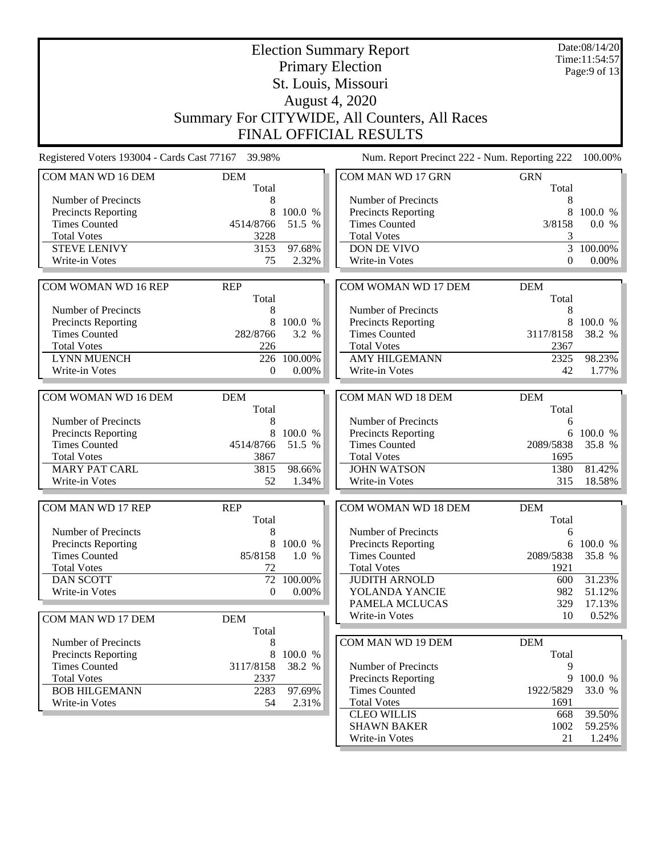| <b>Election Summary Report</b><br><b>Primary Election</b> |                     |         |                                                    |                     | Date:08/14/20<br>Time:11:54:57<br>Page: $9$ of 13 |
|-----------------------------------------------------------|---------------------|---------|----------------------------------------------------|---------------------|---------------------------------------------------|
|                                                           |                     |         | St. Louis, Missouri                                |                     |                                                   |
|                                                           |                     |         | August 4, 2020                                     |                     |                                                   |
|                                                           |                     |         |                                                    |                     |                                                   |
|                                                           |                     |         | Summary For CITYWIDE, All Counters, All Races      |                     |                                                   |
|                                                           |                     |         | FINAL OFFICIAL RESULTS                             |                     |                                                   |
| Registered Voters 193004 - Cards Cast 77167 39.98%        |                     |         | Num. Report Precinct 222 - Num. Reporting 222      |                     | 100.00%                                           |
| COM MAN WD 16 DEM                                         | <b>DEM</b>          |         | COM MAN WD 17 GRN                                  | <b>GRN</b>          |                                                   |
| Number of Precincts                                       | Total<br>8          |         | Number of Precincts                                | Total<br>8          |                                                   |
| <b>Precincts Reporting</b>                                | 8                   | 100.0 % | <b>Precincts Reporting</b>                         | 8                   | 100.0 %                                           |
| <b>Times Counted</b>                                      | 4514/8766           | 51.5 %  | <b>Times Counted</b>                               | 3/8158              | 0.0 %                                             |
| <b>Total Votes</b>                                        | 3228                |         | <b>Total Votes</b>                                 | 3                   |                                                   |
| <b>STEVE LENIVY</b>                                       | 3153                | 97.68%  | <b>DON DE VIVO</b>                                 | 3                   | 100.00%                                           |
| Write-in Votes                                            | 75                  | 2.32%   | Write-in Votes                                     | $\overline{0}$      | $0.00\%$                                          |
|                                                           |                     |         |                                                    |                     |                                                   |
| COM WOMAN WD 16 REP                                       | <b>REP</b><br>Total |         | COM WOMAN WD 17 DEM                                | <b>DEM</b><br>Total |                                                   |
| Number of Precincts                                       | 8                   |         | Number of Precincts                                | 8                   |                                                   |
| Precincts Reporting                                       | 8                   | 100.0 % | <b>Precincts Reporting</b>                         | 8                   | 100.0 %                                           |
| <b>Times Counted</b>                                      | 282/8766            | 3.2 %   | <b>Times Counted</b>                               | 3117/8158           | 38.2 %                                            |
| <b>Total Votes</b>                                        | 226                 |         | <b>Total Votes</b>                                 | 2367                |                                                   |
| <b>LYNN MUENCH</b>                                        | 226                 | 100.00% | <b>AMY HILGEMANN</b>                               | 2325                | 98.23%                                            |
| Write-in Votes                                            | $\mathbf{0}$        | 0.00%   | Write-in Votes                                     | 42                  | 1.77%                                             |
|                                                           |                     |         |                                                    |                     |                                                   |
| COM WOMAN WD 16 DEM                                       | <b>DEM</b>          |         | COM MAN WD 18 DEM                                  | <b>DEM</b>          |                                                   |
|                                                           | Total               |         |                                                    | Total               |                                                   |
| Number of Precincts                                       | 8                   |         | Number of Precincts                                | 6                   |                                                   |
| <b>Precincts Reporting</b>                                | 8                   | 100.0 % | <b>Precincts Reporting</b>                         | 6<br>2089/5838      | 100.0 %                                           |
| <b>Times Counted</b><br><b>Total Votes</b>                | 4514/8766<br>3867   | 51.5 %  | <b>Times Counted</b><br><b>Total Votes</b>         | 1695                | 35.8 %                                            |
| <b>MARY PAT CARL</b>                                      | 3815                | 98.66%  | <b>JOHN WATSON</b>                                 | 1380                | 81.42%                                            |
| Write-in Votes                                            | 52                  | 1.34%   | Write-in Votes                                     | 315                 | 18.58%                                            |
|                                                           |                     |         |                                                    |                     |                                                   |
| COM MAN WD 17 REP                                         | <b>REP</b>          |         | COM WOMAN WD 18 DEM                                | <b>DEM</b>          |                                                   |
|                                                           | Total               |         |                                                    | Total               |                                                   |
| Number of Precincts                                       | 8                   |         | Number of Precincts                                | 6                   |                                                   |
| <b>Precincts Reporting</b>                                | 8                   | 100.0 % | <b>Precincts Reporting</b>                         |                     | 6 100.0 %                                         |
| <b>Times Counted</b>                                      | 85/8158             | 1.0 %   | <b>Times Counted</b>                               | 2089/5838           | 35.8 %                                            |
| <b>Total Votes</b>                                        | 72                  |         | <b>Total Votes</b>                                 | 1921                |                                                   |
| <b>DAN SCOTT</b>                                          | 72                  | 100.00% | <b>JUDITH ARNOLD</b>                               | 600                 | 31.23%                                            |
| Write-in Votes                                            | $\mathbf{0}$        | 0.00%   | YOLANDA YANCIE                                     | 982                 | 51.12%                                            |
|                                                           |                     |         | PAMELA MCLUCAS                                     | 329                 | 17.13%                                            |
| COM MAN WD 17 DEM                                         | <b>DEM</b>          |         | Write-in Votes                                     | 10                  | 0.52%                                             |
|                                                           | Total               |         |                                                    |                     |                                                   |
| Number of Precincts                                       | 8                   |         | COM MAN WD 19 DEM                                  | <b>DEM</b>          |                                                   |
| Precincts Reporting                                       | 8                   | 100.0 % |                                                    | Total               |                                                   |
| <b>Times Counted</b><br><b>Total Votes</b>                | 3117/8158<br>2337   | 38.2 %  | Number of Precincts                                | 9<br>9              | 100.0 %                                           |
| <b>BOB HILGEMANN</b>                                      | 2283                | 97.69%  | <b>Precincts Reporting</b><br><b>Times Counted</b> | 1922/5829           | 33.0 %                                            |
| Write-in Votes                                            | 54                  | 2.31%   | <b>Total Votes</b>                                 | 1691                |                                                   |
|                                                           |                     |         | <b>CLEO WILLIS</b>                                 | 668                 | 39.50%                                            |
|                                                           |                     |         | <b>SHAWN BAKER</b>                                 | 1002                | 59.25%                                            |
|                                                           |                     |         | Write-in Votes                                     | 21                  | 1.24%                                             |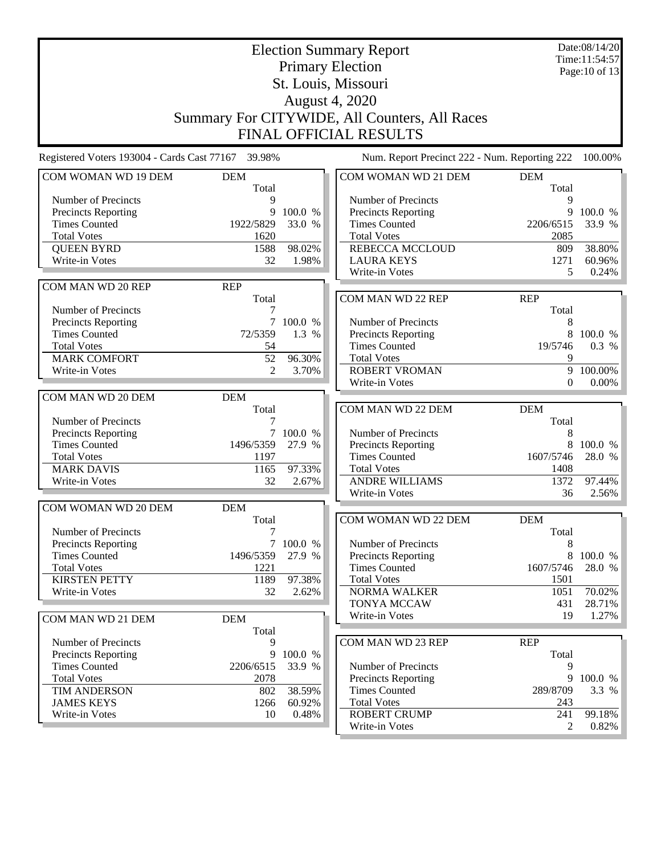|                                                    |                     | Date:08/14/20<br>Time:11:54:57 |                                                    |            |                   |
|----------------------------------------------------|---------------------|--------------------------------|----------------------------------------------------|------------|-------------------|
|                                                    |                     |                                | <b>Primary Election</b>                            |            | Page: 10 of 13    |
|                                                    |                     |                                |                                                    |            |                   |
|                                                    |                     |                                | St. Louis, Missouri<br><b>August 4, 2020</b>       |            |                   |
|                                                    |                     |                                |                                                    |            |                   |
|                                                    |                     |                                | Summary For CITYWIDE, All Counters, All Races      |            |                   |
|                                                    |                     |                                | <b>FINAL OFFICIAL RESULTS</b>                      |            |                   |
| Registered Voters 193004 - Cards Cast 77167 39.98% |                     |                                | Num. Report Precinct 222 - Num. Reporting 222      |            | 100.00%           |
| COM WOMAN WD 19 DEM                                | <b>DEM</b>          |                                | COM WOMAN WD 21 DEM                                | <b>DEM</b> |                   |
|                                                    | Total               |                                |                                                    | Total      |                   |
| Number of Precincts                                | 9                   |                                | Number of Precincts                                | 9          |                   |
| <b>Precincts Reporting</b>                         | 9                   | 100.0 %                        | <b>Precincts Reporting</b>                         | 9          | 100.0 %           |
| <b>Times Counted</b>                               | 1922/5829           | 33.0 %                         | <b>Times Counted</b>                               | 2206/6515  | 33.9 %            |
| <b>Total Votes</b>                                 | 1620                |                                | <b>Total Votes</b>                                 | 2085       |                   |
| <b>QUEEN BYRD</b>                                  | 1588                | 98.02%                         | <b>REBECCA MCCLOUD</b>                             | 809        | 38.80%            |
| Write-in Votes                                     | 32                  | 1.98%                          | <b>LAURA KEYS</b>                                  | 1271       | 60.96%            |
|                                                    |                     |                                | Write-in Votes                                     | 5          | 0.24%             |
| COM MAN WD 20 REP                                  | <b>REP</b>          |                                |                                                    |            |                   |
|                                                    | Total               |                                | COM MAN WD 22 REP                                  | <b>REP</b> |                   |
| Number of Precincts                                | 7                   |                                |                                                    | Total      |                   |
| <b>Precincts Reporting</b>                         |                     | 7 100.0 %                      | Number of Precincts                                | 8          |                   |
| <b>Times Counted</b>                               | 72/5359             | 1.3 %                          | <b>Precincts Reporting</b>                         | 8          | 100.0 %           |
| <b>Total Votes</b>                                 | 54                  |                                | <b>Times Counted</b>                               | 19/5746    | 0.3 %             |
| <b>MARK COMFORT</b>                                | 52                  | 96.30%                         | <b>Total Votes</b>                                 | 9          |                   |
| Write-in Votes                                     | 2                   | 3.70%                          | <b>ROBERT VROMAN</b>                               | 9          | 100.00%           |
|                                                    |                     |                                | Write-in Votes                                     | $\Omega$   | 0.00%             |
| COM MAN WD 20 DEM                                  | <b>DEM</b>          |                                |                                                    |            |                   |
|                                                    | Total               |                                | COM MAN WD 22 DEM                                  | <b>DEM</b> |                   |
| Number of Precincts                                |                     |                                |                                                    | Total      |                   |
| <b>Precincts Reporting</b>                         | 1496/5359           | 7 100.0 %                      | Number of Precincts                                | 8<br>8     |                   |
| <b>Times Counted</b><br><b>Total Votes</b>         | 1197                | 27.9 %                         | <b>Precincts Reporting</b><br><b>Times Counted</b> | 1607/5746  | 100.0 %<br>28.0 % |
| <b>MARK DAVIS</b>                                  | 1165                | 97.33%                         | <b>Total Votes</b>                                 | 1408       |                   |
| Write-in Votes                                     | 32                  | 2.67%                          | <b>ANDRE WILLIAMS</b>                              | 1372       | 97.44%            |
|                                                    |                     |                                | Write-in Votes                                     | 36         | 2.56%             |
|                                                    |                     |                                |                                                    |            |                   |
| COM WOMAN WD 20 DEM                                | <b>DEM</b>          |                                |                                                    |            |                   |
|                                                    | Total               |                                | <b>COM WOMAN WD 22 DEM</b>                         | <b>DEM</b> |                   |
| Number of Precincts<br><b>Precincts Reporting</b>  | 7                   | 7 100.0 %                      | Number of Precincts                                | Total<br>8 |                   |
| <b>Times Counted</b>                               | 1496/5359           | 27.9 %                         | <b>Precincts Reporting</b>                         | 8          | 100.0 %           |
| <b>Total Votes</b>                                 | 1221                |                                | <b>Times Counted</b>                               | 1607/5746  | 28.0 %            |
| <b>KIRSTEN PETTY</b>                               | 1189                | 97.38%                         | <b>Total Votes</b>                                 | 1501       |                   |
| Write-in Votes                                     | 32                  | 2.62%                          | <b>NORMA WALKER</b>                                | 1051       | 70.02%            |
|                                                    |                     |                                | <b>TONYA MCCAW</b>                                 | 431        | 28.71%            |
|                                                    |                     |                                | Write-in Votes                                     | 19         | 1.27%             |
| COM MAN WD 21 DEM                                  | <b>DEM</b><br>Total |                                |                                                    |            |                   |
| Number of Precincts                                | 9                   |                                | COM MAN WD 23 REP                                  | <b>REP</b> |                   |
| <b>Precincts Reporting</b>                         | 9                   | 100.0 %                        |                                                    | Total      |                   |
| <b>Times Counted</b>                               | 2206/6515           | 33.9 %                         | Number of Precincts                                | 9          |                   |
| <b>Total Votes</b>                                 | 2078                |                                | Precincts Reporting                                | 9          | 100.0 %           |
| <b>TIM ANDERSON</b>                                | 802                 | 38.59%                         | <b>Times Counted</b>                               | 289/8709   | 3.3 %             |
| <b>JAMES KEYS</b>                                  | 1266                | 60.92%                         | <b>Total Votes</b>                                 | 243        |                   |
| Write-in Votes                                     | 10                  | 0.48%                          | <b>ROBERT CRUMP</b>                                | 241        | 99.18%            |
|                                                    |                     |                                | Write-in Votes                                     | 2          | 0.82%             |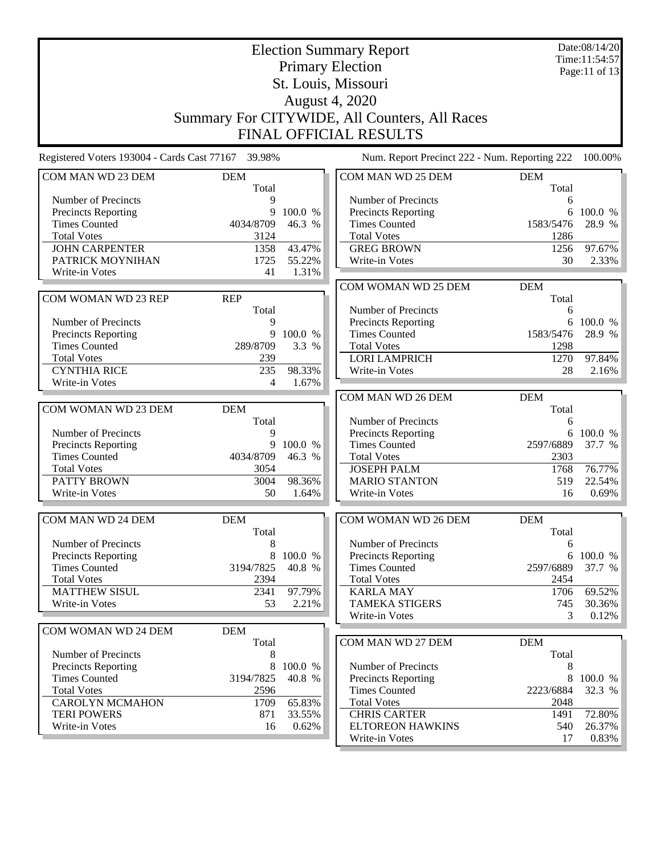| <b>Election Summary Report</b>                     |                     |         |                                                    |                     | Date:08/14/20<br>Time:11:54:57 |
|----------------------------------------------------|---------------------|---------|----------------------------------------------------|---------------------|--------------------------------|
|                                                    |                     |         | <b>Primary Election</b>                            |                     | Page:11 of 13                  |
|                                                    |                     |         | St. Louis, Missouri                                |                     |                                |
|                                                    |                     |         | <b>August 4, 2020</b>                              |                     |                                |
| Summary For CITYWIDE, All Counters, All Races      |                     |         |                                                    |                     |                                |
|                                                    |                     |         |                                                    |                     |                                |
|                                                    |                     |         | <b>FINAL OFFICIAL RESULTS</b>                      |                     |                                |
| Registered Voters 193004 - Cards Cast 77167 39.98% |                     |         | Num. Report Precinct 222 - Num. Reporting 222      |                     | 100.00%                        |
| COM MAN WD 23 DEM                                  | <b>DEM</b><br>Total |         | COM MAN WD 25 DEM                                  | <b>DEM</b><br>Total |                                |
| Number of Precincts                                | 9                   |         | Number of Precincts                                | 6                   |                                |
| Precincts Reporting                                | 9                   | 100.0 % | <b>Precincts Reporting</b>                         |                     | 6 100.0 %                      |
| <b>Times Counted</b>                               | 4034/8709           | 46.3 %  | <b>Times Counted</b>                               | 1583/5476           | 28.9 %                         |
| <b>Total Votes</b>                                 | 3124                |         | <b>Total Votes</b>                                 | 1286                |                                |
| <b>JOHN CARPENTER</b>                              | 1358                | 43.47%  | <b>GREG BROWN</b>                                  | 1256                | 97.67%                         |
| PATRICK MOYNIHAN                                   | 1725                | 55.22%  | Write-in Votes                                     | 30                  | 2.33%                          |
| Write-in Votes                                     | 41                  | 1.31%   |                                                    |                     |                                |
| COM WOMAN WD 23 REP                                | <b>REP</b>          |         | COM WOMAN WD 25 DEM                                | <b>DEM</b><br>Total |                                |
|                                                    | Total               |         | Number of Precincts                                | 6                   |                                |
| Number of Precincts                                | 9                   |         | <b>Precincts Reporting</b>                         |                     | 6 100.0 %                      |
| <b>Precincts Reporting</b>                         | 9                   | 100.0 % | <b>Times Counted</b>                               | 1583/5476           | 28.9 %                         |
| <b>Times Counted</b>                               | 289/8709            | 3.3 %   | <b>Total Votes</b>                                 | 1298                |                                |
| <b>Total Votes</b>                                 | 239                 |         | <b>LORI LAMPRICH</b>                               | 1270                | 97.84%                         |
| <b>CYNTHIA RICE</b>                                | 235                 | 98.33%  | Write-in Votes                                     | 28                  | 2.16%                          |
| Write-in Votes                                     | 4                   | 1.67%   |                                                    |                     |                                |
|                                                    |                     |         | COM MAN WD 26 DEM                                  | <b>DEM</b>          |                                |
| COM WOMAN WD 23 DEM                                | <b>DEM</b>          |         |                                                    | Total               |                                |
|                                                    | Total               |         | Number of Precincts                                | 6                   |                                |
| Number of Precincts                                | 9                   |         | <b>Precincts Reporting</b>                         |                     | 6 100.0 %                      |
| <b>Precincts Reporting</b>                         | 9                   | 100.0 % | <b>Times Counted</b>                               | 2597/6889           | 37.7 %                         |
| <b>Times Counted</b>                               | 4034/8709           | 46.3 %  | <b>Total Votes</b>                                 | 2303                |                                |
| <b>Total Votes</b><br><b>PATTY BROWN</b>           | 3054                | 98.36%  | <b>JOSEPH PALM</b>                                 | 1768                | 76.77%                         |
| Write-in Votes                                     | 3004<br>50          | 1.64%   | <b>MARIO STANTON</b><br>Write-in Votes             | 519<br>16           | 22.54%<br>0.69%                |
|                                                    |                     |         |                                                    |                     |                                |
| COM MAN WD 24 DEM                                  | <b>DEM</b>          |         | <b>COM WOMAN WD 26 DEM</b>                         | <b>DEM</b>          |                                |
|                                                    | Total               |         |                                                    | Total               |                                |
| Number of Precincts                                | 8                   |         | Number of Precincts                                | 6                   |                                |
| <b>Precincts Reporting</b><br><b>Times Counted</b> | 8<br>3194/7825      | 100.0 % | <b>Precincts Reporting</b><br><b>Times Counted</b> | 6<br>2597/6889      | 100.0 %                        |
| <b>Total Votes</b>                                 | 2394                | 40.8 %  | <b>Total Votes</b>                                 | 2454                | 37.7 %                         |
| <b>MATTHEW SISUL</b>                               | 2341                | 97.79%  | <b>KARLA MAY</b>                                   | 1706                | 69.52%                         |
| Write-in Votes                                     | 53                  | 2.21%   | <b>TAMEKA STIGERS</b>                              | 745                 | 30.36%                         |
|                                                    |                     |         | Write-in Votes                                     | 3                   | 0.12%                          |
| COM WOMAN WD 24 DEM                                | <b>DEM</b>          |         |                                                    |                     |                                |
|                                                    | Total               |         | COM MAN WD 27 DEM                                  | <b>DEM</b>          |                                |
| Number of Precincts                                | 8                   |         |                                                    | Total               |                                |
| Precincts Reporting                                | 8                   | 100.0 % | Number of Precincts                                | 8                   |                                |
| <b>Times Counted</b>                               | 3194/7825           | 40.8 %  | Precincts Reporting                                | 8                   | 100.0 %                        |
| <b>Total Votes</b>                                 | 2596                |         | <b>Times Counted</b>                               | 2223/6884           | 32.3 %                         |
| <b>CAROLYN MCMAHON</b>                             | 1709                | 65.83%  | <b>Total Votes</b>                                 | 2048                |                                |
| <b>TERI POWERS</b>                                 | 871                 | 33.55%  | <b>CHRIS CARTER</b>                                | 1491                | 72.80%                         |
| Write-in Votes                                     | 16                  | 0.62%   | <b>ELTOREON HAWKINS</b>                            | 540                 | 26.37%                         |
|                                                    |                     |         | Write-in Votes                                     | 17                  | 0.83%                          |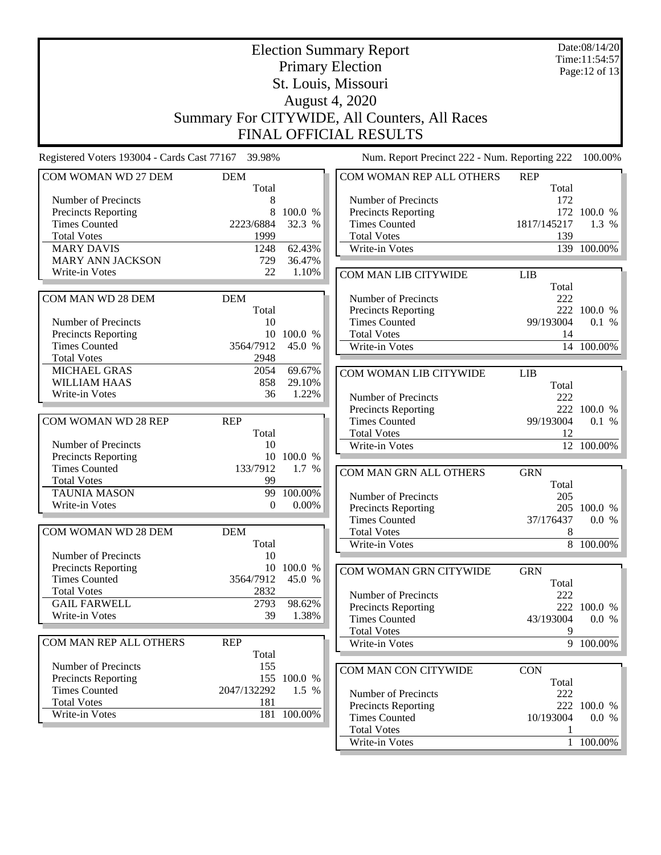|                                                    |                     | Date:08/14/20<br>Time:11:54:57<br>Page: 12 of 13 |                                               |                     |                      |
|----------------------------------------------------|---------------------|--------------------------------------------------|-----------------------------------------------|---------------------|----------------------|
|                                                    |                     |                                                  | St. Louis, Missouri<br><b>August 4, 2020</b>  |                     |                      |
|                                                    |                     |                                                  | Summary For CITYWIDE, All Counters, All Races |                     |                      |
|                                                    |                     |                                                  | <b>FINAL OFFICIAL RESULTS</b>                 |                     |                      |
| Registered Voters 193004 - Cards Cast 77167 39.98% |                     |                                                  | Num. Report Precinct 222 - Num. Reporting 222 |                     | 100.00%              |
| COM WOMAN WD 27 DEM                                | <b>DEM</b>          |                                                  | COM WOMAN REP ALL OTHERS                      | <b>REP</b>          |                      |
|                                                    | Total               |                                                  |                                               | Total               |                      |
| Number of Precincts                                | 8<br>8              | 100.0 %                                          | Number of Precincts                           | 172                 | 172 100.0 %          |
| Precincts Reporting<br><b>Times Counted</b>        | 2223/6884           | 32.3 %                                           | Precincts Reporting<br><b>Times Counted</b>   | 1817/145217         | 1.3 %                |
| <b>Total Votes</b>                                 | 1999                |                                                  | <b>Total Votes</b>                            | 139                 |                      |
| <b>MARY DAVIS</b>                                  | 1248                | 62.43%                                           | Write-in Votes                                |                     | 139 100.00%          |
| <b>MARY ANN JACKSON</b>                            | 729                 | 36.47%                                           |                                               |                     |                      |
| Write-in Votes                                     | 22                  | 1.10%                                            | COM MAN LIB CITYWIDE                          | <b>LIB</b>          |                      |
|                                                    |                     |                                                  |                                               | Total               |                      |
| COM MAN WD 28 DEM                                  | <b>DEM</b>          |                                                  | Number of Precincts                           | 222                 |                      |
| Number of Precincts                                | Total<br>10         |                                                  | Precincts Reporting<br><b>Times Counted</b>   | 99/193004           | 222 100.0 %<br>0.1 % |
| <b>Precincts Reporting</b>                         |                     | 10 100.0 %                                       | <b>Total Votes</b>                            | 14                  |                      |
| <b>Times Counted</b>                               | 3564/7912           | 45.0 %                                           | Write-in Votes                                |                     | 14 100.00%           |
| <b>Total Votes</b>                                 | 2948                |                                                  |                                               |                     |                      |
| <b>MICHAEL GRAS</b>                                | 2054                | 69.67%                                           | COM WOMAN LIB CITYWIDE                        | LIB                 |                      |
| WILLIAM HAAS                                       | 858                 | 29.10%                                           |                                               | Total               |                      |
| Write-in Votes                                     | 36                  | 1.22%                                            | Number of Precincts                           | 222                 |                      |
|                                                    |                     |                                                  | Precincts Reporting                           |                     | 222 100.0 %          |
| COM WOMAN WD 28 REP                                | <b>REP</b>          |                                                  | <b>Times Counted</b>                          | 99/193004           | 0.1 %                |
|                                                    | Total               |                                                  | <b>Total Votes</b>                            | 12                  |                      |
| Number of Precincts                                | 10                  |                                                  | Write-in Votes                                |                     | 12 100.00%           |
| Precincts Reporting                                |                     | 10 100.0 %                                       |                                               |                     |                      |
| <b>Times Counted</b><br><b>Total Votes</b>         | 133/7912<br>99      | 1.7 %                                            | COM MAN GRN ALL OTHERS                        | <b>GRN</b>          |                      |
| <b>TAUNIA MASON</b>                                | 99                  | 100.00%                                          |                                               | Total               |                      |
| Write-in Votes                                     | $\Omega$            | $0.00\%$                                         | Number of Precincts                           | 205                 |                      |
|                                                    |                     |                                                  | Precincts Reporting<br><b>Times Counted</b>   | 37/176437           | 205 100.0 %<br>0.0 % |
| COM WOMAN WD 28 DEM                                | <b>DEM</b>          |                                                  | <b>Total Votes</b>                            | 8                   |                      |
|                                                    | Total               |                                                  | Write-in Votes                                |                     | 8 100.00%            |
| Number of Precincts                                | 10                  |                                                  |                                               |                     |                      |
| Precincts Reporting                                |                     | 10 100.0 %                                       | COM WOMAN GRN CITYWIDE                        | <b>GRN</b>          |                      |
| <b>Times Counted</b>                               | 3564/7912           | 45.0 %                                           |                                               | Total               |                      |
| <b>Total Votes</b>                                 | 2832                |                                                  | Number of Precincts                           | 222                 |                      |
| <b>GAIL FARWELL</b>                                | 2793                | 98.62%                                           | Precincts Reporting                           |                     | 222 100.0 %          |
| Write-in Votes                                     | 39                  | 1.38%                                            | <b>Times Counted</b>                          | 43/193004           | 0.0 %                |
|                                                    |                     |                                                  | <b>Total Votes</b>                            | 9                   |                      |
| COM MAN REP ALL OTHERS                             | <b>REP</b><br>Total |                                                  | Write-in Votes                                |                     | 9 100.00%            |
| Number of Precincts                                | 155                 |                                                  |                                               |                     |                      |
| Precincts Reporting                                |                     | 155 100.0 %                                      | COM MAN CON CITYWIDE                          | <b>CON</b><br>Total |                      |
| <b>Times Counted</b>                               | 2047/132292         | 1.5 %                                            | Number of Precincts                           | 222                 |                      |
| <b>Total Votes</b>                                 | 181                 |                                                  | <b>Precincts Reporting</b>                    |                     | 222 100.0 %          |
| Write-in Votes                                     |                     | 181 100.00%                                      | <b>Times Counted</b>                          | 10/193004           | 0.0 %                |
|                                                    |                     |                                                  | <b>Total Votes</b>                            |                     |                      |
|                                                    |                     |                                                  | Write-in Votes                                |                     | 1 100.00%            |